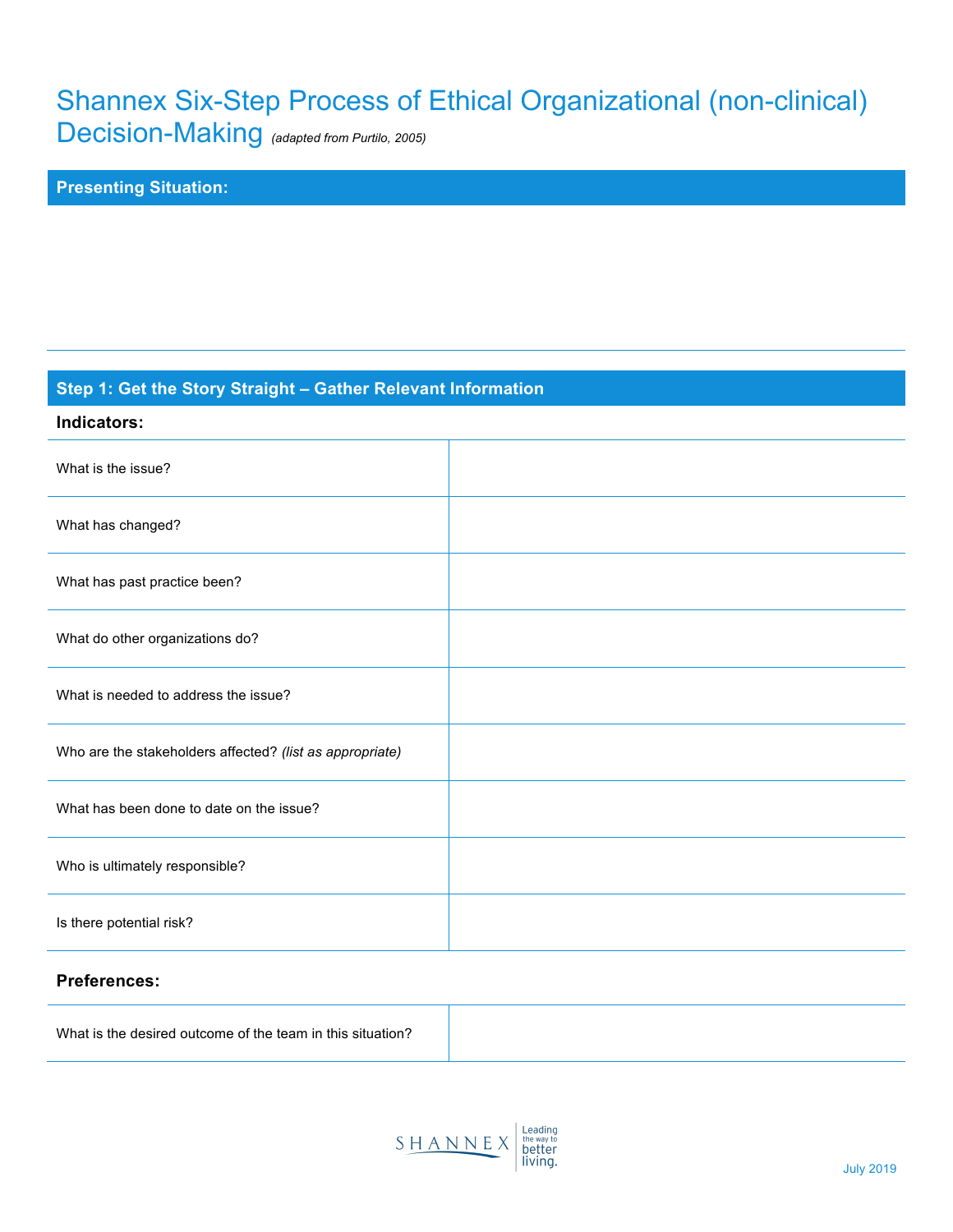# Shannex Six-Step Process of Ethical Organizational (non-clinical)

Decision-Making *(adapted from Purtilo, 2005)*

# **Presenting Situation:**

# **Step 1: Get the Story Straight – Gather Relevant Information**

| Indicators:                                              |  |
|----------------------------------------------------------|--|
| What is the issue?                                       |  |
| What has changed?                                        |  |
| What has past practice been?                             |  |
| What do other organizations do?                          |  |
| What is needed to address the issue?                     |  |
| Who are the stakeholders affected? (list as appropriate) |  |
| What has been done to date on the issue?                 |  |
| Who is ultimately responsible?                           |  |
| Is there potential risk?                                 |  |

#### **Preferences:**

|--|

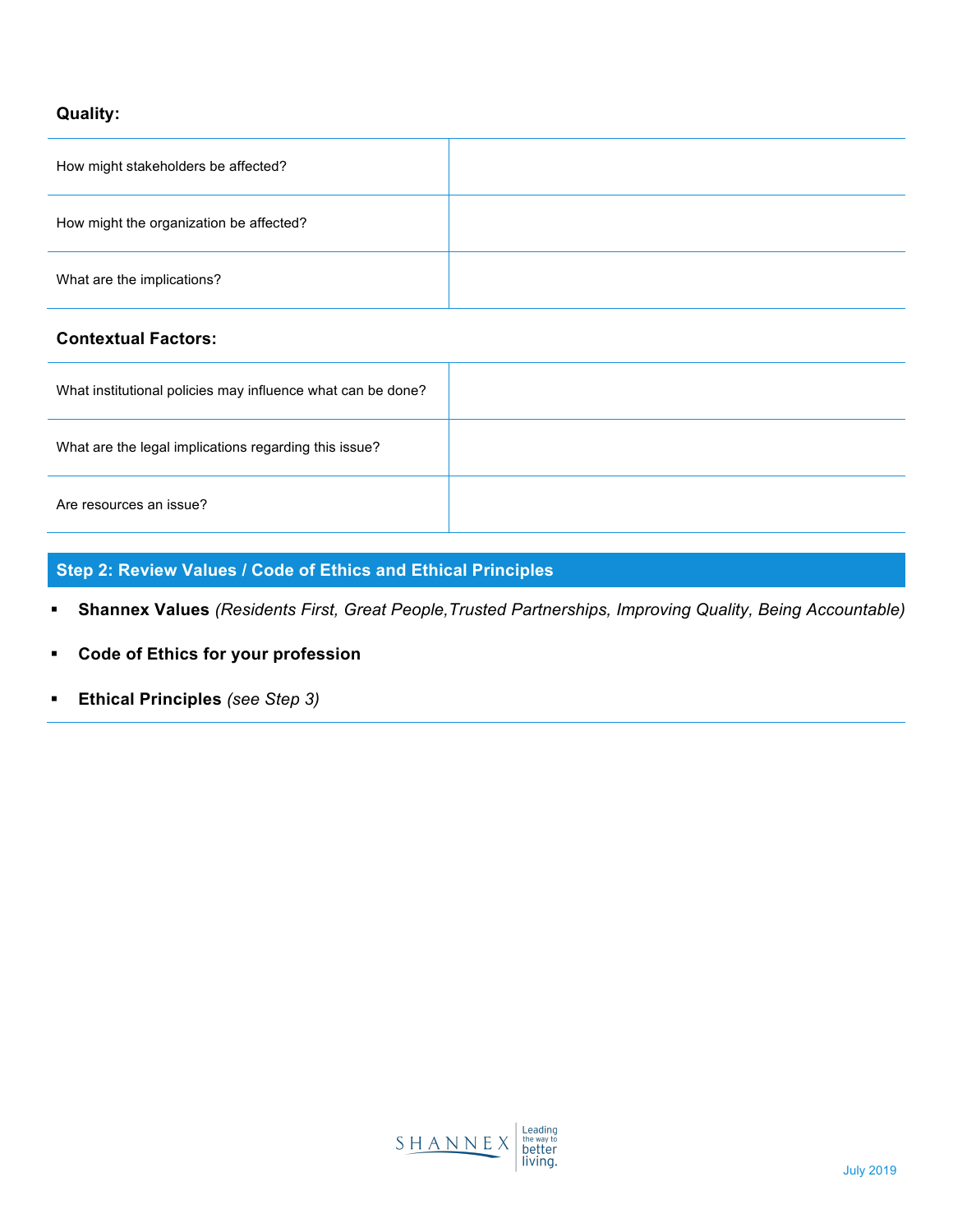## **Quality:**

| How might stakeholders be affected?     |  |
|-----------------------------------------|--|
| How might the organization be affected? |  |
| What are the implications?              |  |

#### **Contextual Factors:**

| What institutional policies may influence what can be done? |  |
|-------------------------------------------------------------|--|
| What are the legal implications regarding this issue?       |  |
| Are resources an issue?                                     |  |

## **Step 2: Review Values / Code of Ethics and Ethical Principles**

- ! **Shannex Values** *(Residents First, Great People,Trusted Partnerships, Improving Quality, Being Accountable)*
- ! **Code of Ethics for your profession**
- ! **Ethical Principles** *(see Step 3)*

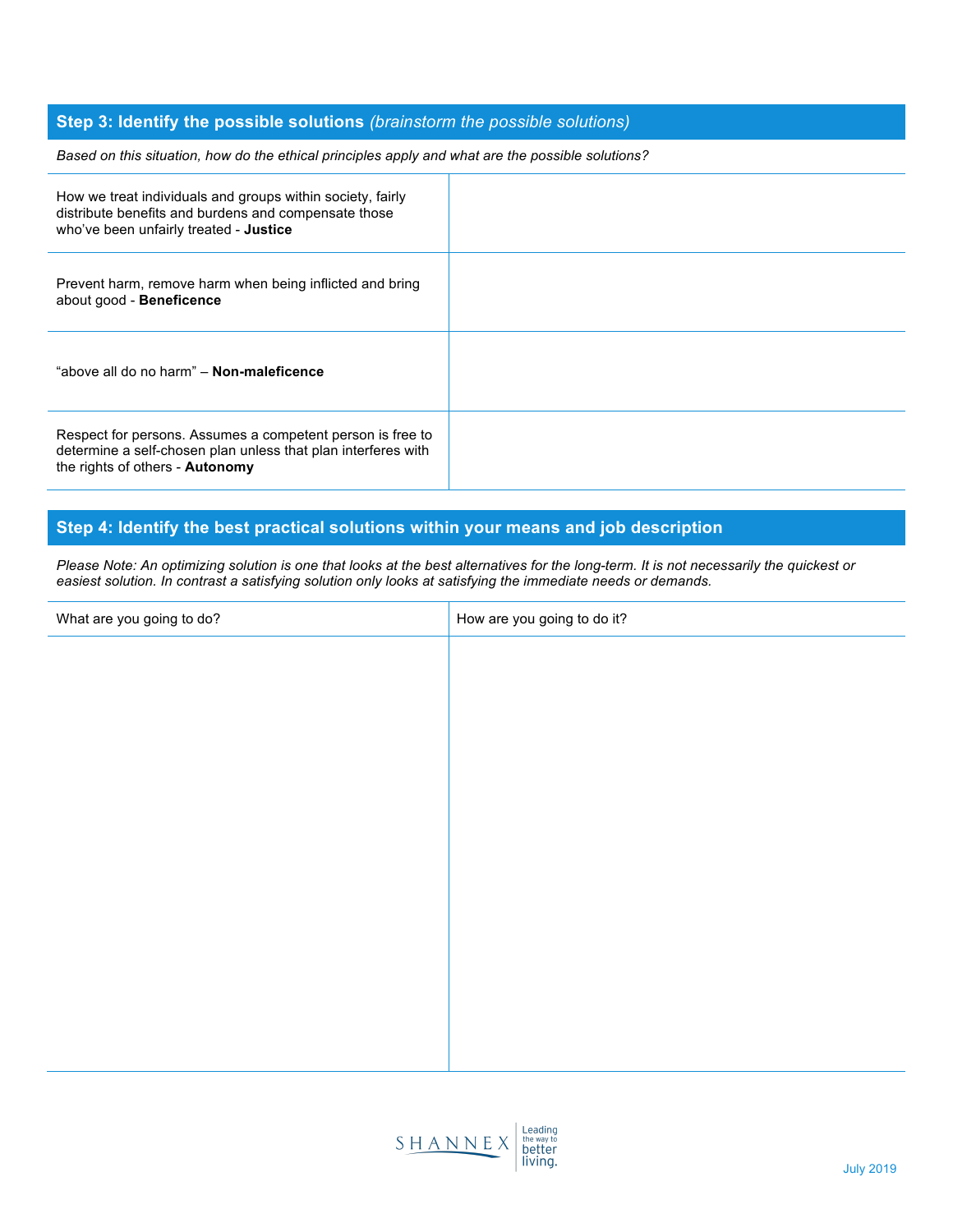#### **Step 3: Identify the possible solutions** *(brainstorm the possible solutions)*

*Based on this situation, how do the ethical principles apply and what are the possible solutions?*

| How we treat individuals and groups within society, fairly<br>distribute benefits and burdens and compensate those<br>who've been unfairly treated - Justice   |  |
|----------------------------------------------------------------------------------------------------------------------------------------------------------------|--|
| Prevent harm, remove harm when being inflicted and bring<br>about good - Beneficence                                                                           |  |
| "above all do no harm" - Non-maleficence                                                                                                                       |  |
| Respect for persons. Assumes a competent person is free to<br>determine a self-chosen plan unless that plan interferes with<br>the rights of others - Autonomy |  |

#### **Step 4: Identify the best practical solutions within your means and job description**

*Please Note: An optimizing solution is one that looks at the best alternatives for the long-term. It is not necessarily the quickest or easiest solution. In contrast a satisfying solution only looks at satisfying the immediate needs or demands.*

| What are you going to do? | How are you going to do it? |
|---------------------------|-----------------------------|
|                           |                             |
|                           |                             |
|                           |                             |
|                           |                             |
|                           |                             |
|                           |                             |
|                           |                             |
|                           |                             |
|                           |                             |
|                           |                             |
|                           |                             |
|                           |                             |
|                           |                             |
|                           |                             |
|                           |                             |
|                           |                             |